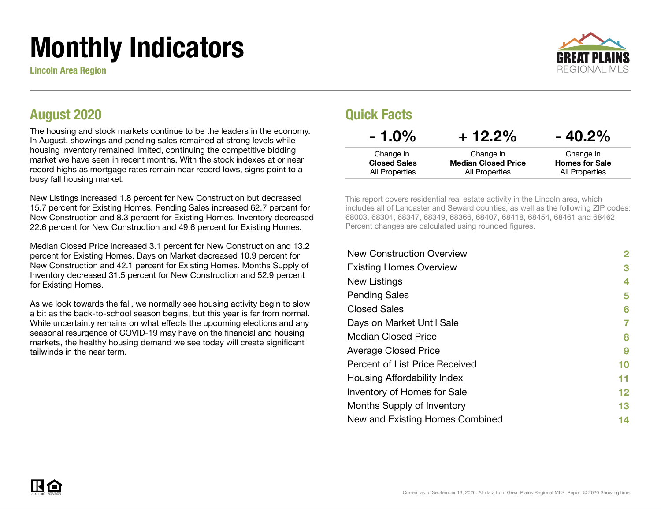# Monthly Indicators

Lincoln Area Region



#### August 2020

The housing and stock markets continue to be the leaders in the economy. In August, showings and pending sales remained at strong levels while housing inventory remained limited, continuing the competitive bidding market we have seen in recent months. With the stock indexes at or near record highs as mortgage rates remain near record lows, signs point to a busy fall housing market.

New Listings increased 1.8 percent for New Construction but decreased 15.7 percent for Existing Homes. Pending Sales increased 62.7 percent for New Construction and 8.3 percent for Existing Homes. Inventory decreased 22.6 percent for New Construction and 49.6 percent for Existing Homes.

Median Closed Price increased 3.1 percent for New Construction and 13.2 percent for Existing Homes. Days on Market decreased 10.9 percent for New Construction and 42.1 percent for Existing Homes. Months Supply of Inventory decreased 31.5 percent for New Construction and 52.9 percent for Existing Homes.

As we look towards the fall, we normally see housing activity begin to slow a bit as the back-to-school season begins, but this year is far from normal. While uncertainty remains on what effects the upcoming elections and any seasonal resurgence of COVID-19 may have on the financial and housing markets, the healthy housing demand we see today will create significant tailwinds in the near term.

#### Quick Facts

| $-1.0\%$            | $+12.2%$                   | $-40.2%$              |
|---------------------|----------------------------|-----------------------|
| Change in           | Change in                  | Change in             |
| <b>Closed Sales</b> | <b>Median Closed Price</b> | <b>Homes for Sale</b> |
| All Properties      | All Properties             | All Properties        |

This report covers residential real estate activity in the Lincoln area, which includes all of Lancaster and Seward counties, as well as the following ZIP codes: 68003, 68304, 68347, 68349, 68366, 68407, 68418, 68454, 68461 and 68462. Percent changes are calculated using rounded figures.

| <b>New Construction Overview</b> | 2       |
|----------------------------------|---------|
| <b>Existing Homes Overview</b>   | 3       |
| New Listings                     | 4       |
| <b>Pending Sales</b>             | 5       |
| <b>Closed Sales</b>              | 6       |
| Days on Market Until Sale        |         |
| <b>Median Closed Price</b>       | 8       |
| <b>Average Closed Price</b>      | 9       |
| Percent of List Price Received   | 10      |
| Housing Affordability Index      | 11      |
| Inventory of Homes for Sale      | $12 \,$ |
| Months Supply of Inventory       | 13      |
| New and Existing Homes Combined  | 14      |

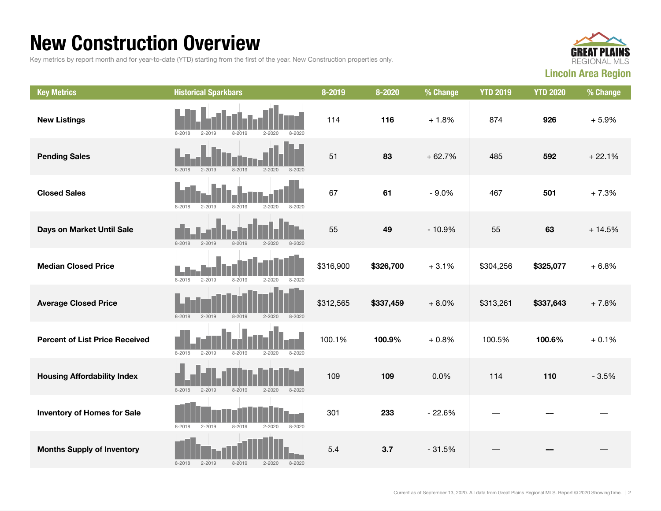#### New Construction Overview

Key metrics by report month and for year-to-date (YTD) starting from the first of the year. New Construction properties only.



| <b>Key Metrics</b>                    | <b>Historical Sparkbars</b>                                        | 8-2019    | 8-2020    | % Change | <b>YTD 2019</b> | <b>YTD 2020</b> | % Change |
|---------------------------------------|--------------------------------------------------------------------|-----------|-----------|----------|-----------------|-----------------|----------|
| <b>New Listings</b>                   | $2 - 2019$<br>8-2019<br>$2 - 2020$<br>$8 - 2020$<br>8-2018         | 114       | 116       | $+1.8%$  | 874             | 926             | $+5.9%$  |
| <b>Pending Sales</b>                  | $8 - 2018$<br>$2 - 2019$<br>$8 - 2019$<br>$2 - 2020$<br>$8 - 2020$ | 51        | 83        | $+62.7%$ | 485             | 592             | $+22.1%$ |
| <b>Closed Sales</b>                   | $8 - 2018$<br>$2 - 2019$<br>$8 - 2019$<br>$2 - 2020$<br>$8 - 2020$ | 67        | 61        | $-9.0%$  | 467             | 501             | $+7.3%$  |
| Days on Market Until Sale             | $8 - 2018$<br>$2 - 2020$<br>$2 - 2019$<br>$8 - 2019$<br>$8 - 2020$ | 55        | 49        | $-10.9%$ | 55              | 63              | $+14.5%$ |
| <b>Median Closed Price</b>            | $8 - 2018$<br>$2 - 2019$<br>$8 - 2019$<br>$2 - 2020$<br>$8 - 2020$ | \$316,900 | \$326,700 | $+3.1%$  | \$304,256       | \$325,077       | $+6.8%$  |
| <b>Average Closed Price</b>           | $8 - 2018$<br>$8 - 2019$<br>$2 - 2020$<br>$2 - 2019$<br>8-2020     | \$312,565 | \$337,459 | $+8.0%$  | \$313,261       | \$337,643       | $+7.8%$  |
| <b>Percent of List Price Received</b> | $8 - 2018$<br>$2 - 2019$<br>$8 - 2019$<br>$2 - 2020$<br>$8 - 2020$ | 100.1%    | 100.9%    | $+0.8%$  | 100.5%          | 100.6%          | $+0.1%$  |
| <b>Housing Affordability Index</b>    | $8 - 2018$<br>$2 - 2019$<br>$8 - 2019$<br>$2 - 2020$<br>$8 - 2020$ | 109       | 109       | 0.0%     | 114             | 110             | $-3.5%$  |
| <b>Inventory of Homes for Sale</b>    | $8 - 2018$<br>$2 - 2019$<br>$8 - 2019$<br>$2 - 2020$<br>$8 - 2020$ | 301       | 233       | $-22.6%$ |                 |                 |          |
| <b>Months Supply of Inventory</b>     | $2 - 2019$<br>$8 - 2019$<br>$2 - 2020$<br>$8 - 2018$<br>$8 - 2020$ | 5.4       | 3.7       | $-31.5%$ |                 |                 |          |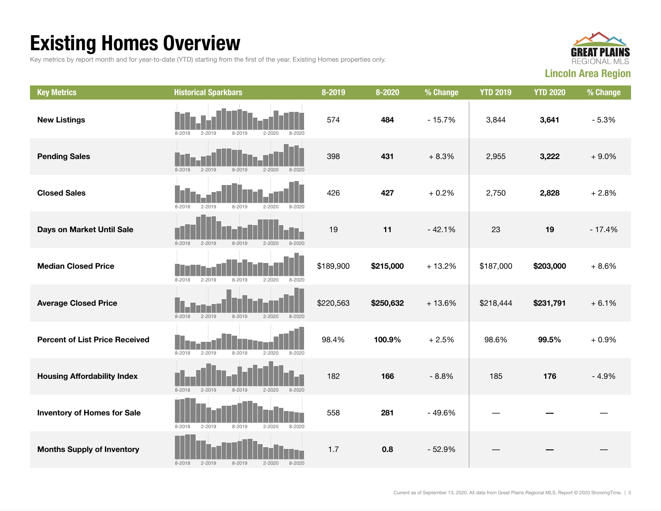## Existing Homes Overview

Key metrics by report month and for year-to-date (YTD) starting from the first of the year. Existing Homes properties only.



| <b>Key Metrics</b>                    | <b>Historical Sparkbars</b>                                        | 8-2019    | 8-2020    | % Change | <b>YTD 2019</b> | <b>YTD 2020</b> | % Change |
|---------------------------------------|--------------------------------------------------------------------|-----------|-----------|----------|-----------------|-----------------|----------|
| <b>New Listings</b>                   | $2 - 2020$<br>$8 - 2018$<br>$2 - 2019$<br>$8 - 2019$<br>$8 - 2020$ | 574       | 484       | $-15.7%$ | 3,844           | 3,641           | $-5.3%$  |
| <b>Pending Sales</b>                  | $8 - 2018$<br>$2 - 2019$<br>$8 - 2019$<br>$2 - 2020$<br>$8 - 2020$ | 398       | 431       | $+8.3%$  | 2,955           | 3,222           | $+9.0%$  |
| <b>Closed Sales</b>                   | $8 - 2018$<br>$2 - 2019$<br>$8 - 2019$<br>$2 - 2020$<br>$8 - 2020$ | 426       | 427       | $+0.2%$  | 2,750           | 2,828           | $+2.8%$  |
| Days on Market Until Sale             | $8 - 2020$<br>$8 - 2018$<br>$2 - 2019$<br>$8 - 2019$<br>$2 - 2020$ | 19        | 11        | $-42.1%$ | 23              | 19              | $-17.4%$ |
| <b>Median Closed Price</b>            | $8 - 2018$<br>$2 - 2019$<br>$8 - 2019$<br>$2 - 2020$<br>$8 - 2020$ | \$189,900 | \$215,000 | $+13.2%$ | \$187,000       | \$203,000       | $+8.6%$  |
| <b>Average Closed Price</b>           | $8 - 2018$<br>$2 - 2019$<br>8-2019<br>$2 - 2020$<br>$8 - 2020$     | \$220,563 | \$250,632 | $+13.6%$ | \$218,444       | \$231,791       | $+6.1%$  |
| <b>Percent of List Price Received</b> | $8 - 2018$<br>$2 - 2019$<br>$8 - 2019$<br>$2 - 2020$<br>$8 - 2020$ | 98.4%     | 100.9%    | $+2.5%$  | 98.6%           | 99.5%           | $+0.9%$  |
| <b>Housing Affordability Index</b>    | $8 - 2018$<br>$2 - 2019$<br>$8 - 2019$<br>$2 - 2020$<br>$8 - 2020$ | 182       | 166       | $-8.8%$  | 185             | 176             | $-4.9%$  |
| <b>Inventory of Homes for Sale</b>    | $8 - 2018$<br>$2 - 2019$<br>$8 - 2019$<br>$2 - 2020$<br>$8 - 2020$ | 558       | 281       | $-49.6%$ |                 |                 |          |
| <b>Months Supply of Inventory</b>     | $2 - 2019$<br>$8 - 2019$<br>$8 - 2018$<br>$2 - 2020$<br>$8 - 2020$ | 1.7       | 0.8       | $-52.9%$ |                 |                 |          |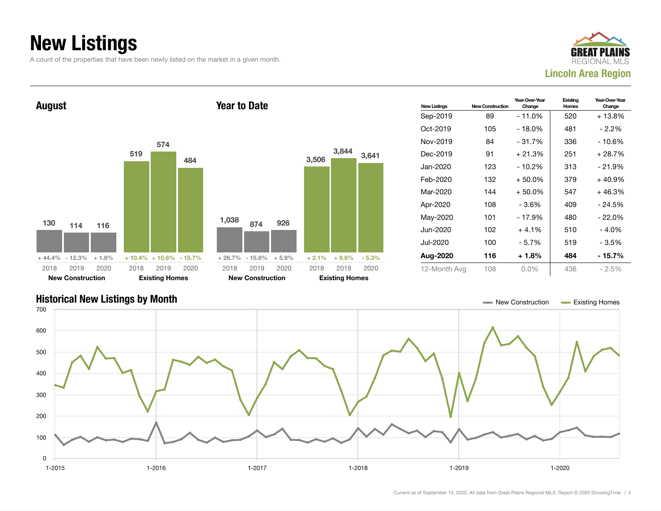### New Listings

A count of the properties that have been newly listed on the market in a given month.





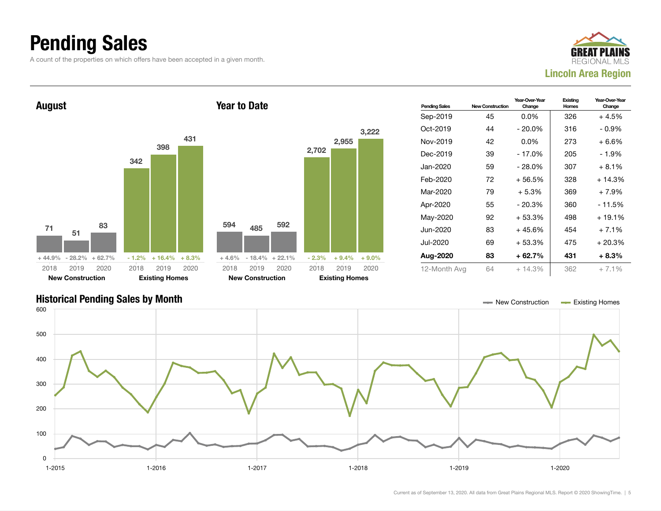### Pending Sales

A count of the properties on which offers have been accepted in a given month.





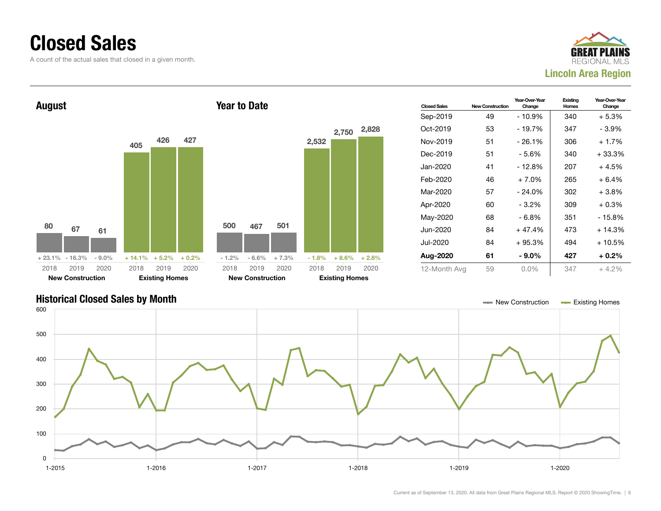#### Closed Sales

A count of the actual sales that closed in a given month.





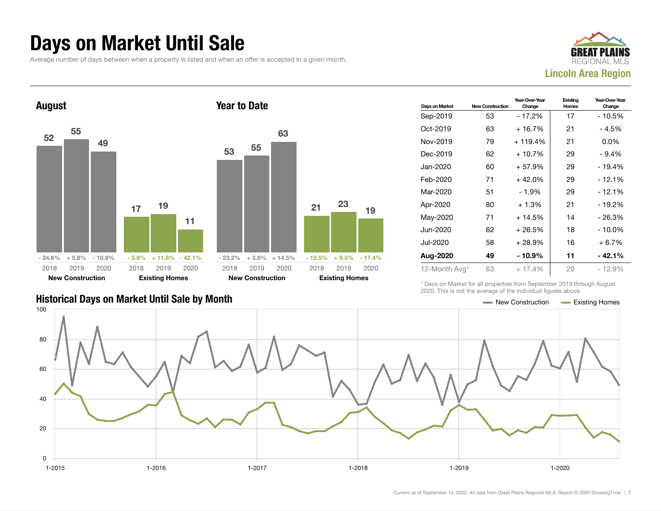#### Days on Market Until Sale

Average number of days between when a property is listed and when an offer is accepted in a given month.





|                                               | LULU. THIU IU HUL LIIU UYULUUU UI LIIU IHUIVIUULI IIYUI UU UDUYU. |  |
|-----------------------------------------------|-------------------------------------------------------------------|--|
| Historical Days on Market Until Sale by Month | $\equiv$ New Construction $\equiv$ Existing Homes                 |  |

| Days on Market | <b>New Construction</b> | Year-Over-Year<br>Change | Existing<br>Homes | Year-Over-Year<br>Change |
|----------------|-------------------------|--------------------------|-------------------|--------------------------|
| Sep-2019       | 53                      | $-17.2%$                 | 17                | - 10.5%                  |
| Oct-2019       | 63                      | $+16.7%$                 | 21                | - 4.5%                   |
| Nov-2019       | 79                      | $+119.4%$                | 21                | $0.0\%$                  |
| Dec-2019       | 62                      | $+10.7%$                 | 29                | $-9.4%$                  |
| Jan-2020       | 60                      | $+57.9%$                 | 29                | - 19.4%                  |
| Feb-2020       | 71                      | $+42.0%$                 | 29                | $-12.1%$                 |
| Mar-2020       | 51                      | $-1.9%$                  | 29                | $-12.1%$                 |
| Apr-2020       | 80                      | $+1.3%$                  | 21                | - 19.2%                  |
| May-2020       | 71                      | $+14.5%$                 | 14                | $-26.3%$                 |
| Jun-2020       | 62                      | $+26.5%$                 | 18                | $-10.0\%$                |
| Jul-2020       | 58                      | + 28.9%                  | 16                | + 6.7%                   |
| Aug-2020       | 49                      | $-10.9%$                 | 11                | - 42.1%                  |
| 12-Month Avg*  | 63                      | $+17.4%$                 | 20                | $-12.9%$                 |

\* Days on Market for all properties from September 2019 through August 2020. This is not the average of the individual figures above.



19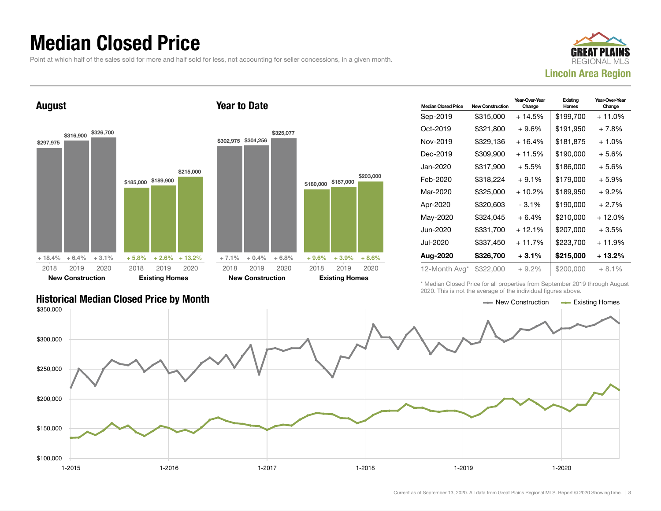#### Median Closed Price

Point at which half of the sales sold for more and half sold for less, not accounting for seller concessions, in a given month.

Year to Date



August



| <b>Median Closed Price</b> | New Construction | Year-Over-Year<br>Change | Existing<br>Homes | Year-Over-Year<br>Change |
|----------------------------|------------------|--------------------------|-------------------|--------------------------|
| Sep-2019                   | \$315,000        | + 14.5%                  | \$199,700         | $+11.0%$                 |
| Oct-2019                   | \$321,800        | $+9.6\%$                 | \$191,950         | $+7.8%$                  |
| Nov-2019                   | \$329.136        | $+16.4%$                 | \$181,875         | $+1.0%$                  |
| Dec-2019                   | \$309,900        | $+11.5%$                 | \$190,000         | $+5.6%$                  |
| Jan-2020                   | \$317,900        | $+5.5%$                  | \$186,000         | $+5.6%$                  |
| Feb-2020                   | \$318.224        | $+9.1%$                  | \$179,000         | $+5.9%$                  |
| Mar-2020                   | \$325,000        | $+10.2%$                 | \$189,950         | $+9.2\%$                 |
| Apr-2020                   | \$320,603        | - 3.1%                   | \$190,000         | $+2.7%$                  |
| May-2020                   | \$324,045        | $+6.4%$                  | \$210,000         | + 12.0%                  |
| Jun-2020                   | \$331,700        | $+12.1%$                 | \$207,000         | $+3.5%$                  |
| Jul-2020                   | \$337,450        | $+11.7%$                 | \$223,700         | + 11.9%                  |
| Aug-2020                   | \$326,700        | $+3.1%$                  | \$215,000         | + 13.2%                  |
| 12-Month Avg*              | \$322,000        | $+9.2%$                  | \$200,000         | $+8.1%$                  |

\* Median Closed Price for all properties from September 2019 through August 2020. This is not the average of the individual figures above.



\$203,000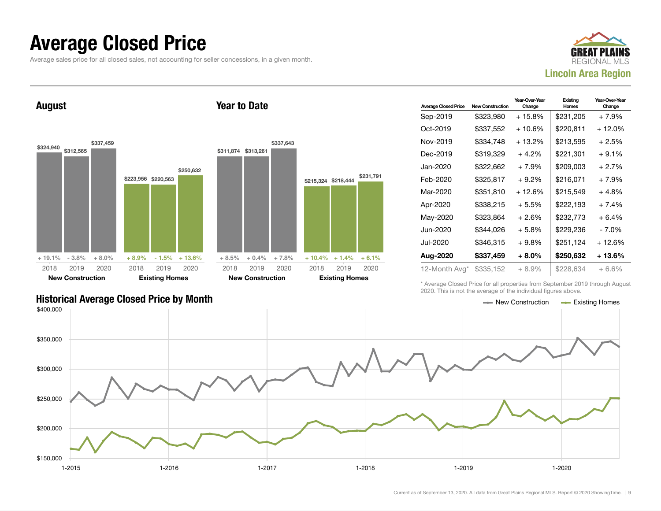#### Average Closed Price

Average sales price for all closed sales, not accounting for seller concessions, in a given month.



August



Year to Date

| <b>Average Closed Price</b> | <b>New Construction</b> | Year-Over-Year<br>Change | Existing<br>Homes | Year-Over-Year<br>Change |
|-----------------------------|-------------------------|--------------------------|-------------------|--------------------------|
| Sep-2019                    | \$323,980               | + 15.8%                  | \$231,205         | $+7.9%$                  |
| Oct-2019                    | \$337,552               | $+10.6%$                 | \$220,811         | + 12.0%                  |
| Nov-2019                    | \$334,748               | $+13.2%$                 | \$213,595         | $+2.5%$                  |
| Dec-2019                    | \$319.329               | $+4.2%$                  | \$221,301         | $+9.1%$                  |
| Jan-2020                    | \$322.662               | $+7.9%$                  | \$209,003         | $+2.7%$                  |
| Feb-2020                    | \$325,817               | $+9.2\%$                 | \$216,071         | $+7.9%$                  |
| Mar-2020                    | \$351,810               | $+12.6%$                 | \$215,549         | + 4.8%                   |
| Apr-2020                    | \$338,215               | $+5.5%$                  | \$222,193         | $+7.4%$                  |
| May-2020                    | \$323,864               | $+2.6%$                  | \$232,773         | + 6.4%                   |
| Jun-2020                    | \$344.026               | $+5.8\%$                 | \$229.236         | - 7.0%                   |
| Jul-2020                    | \$346.315               | $+9.8\%$                 | \$251,124         | $+12.6%$                 |
| Aug-2020                    | \$337,459               | $+8.0\%$                 | \$250,632         | + 13.6%                  |
| 12-Month Avg*               | \$335,152               | $+8.9%$                  | \$228,634         | $+6.6\%$                 |

Historical Average Closed Price by Month **New Construction Average Closed Price by Month** New Construction Average Closed Price by Month

\* Average Closed Price for all properties from September 2019 through August 2020. This is not the average of the individual figures above.

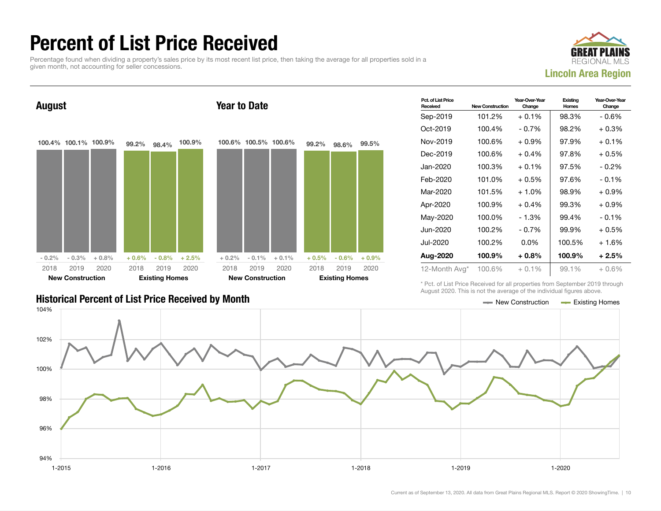### Percent of List Price Received

Percentage found when dividing a property's sales price by its most recent list price, then taking the average for all properties sold in a given month, not accounting for seller concessions.



Year-Over-Year

**Existing** 

Pct. of List Price August 100.4% 100.1% 100.9%  $-0.2\% - 0.3\% + 0.8\%$ 99.2% 98.4% 100.9%  $+0.6\%$  - 0.8% + 2.5% 2018 New Construction 2019 2020 2018 Existing Homes 2019 2020 Year to Date 100.6% 100.5% 100.6%  $+ 0.2\% - 0.1\% + 0.1\%$ 99.2% 98.6% 99.5%  $+ 0.5\%$  - 0.6% + 0.9% 2018 New Construction 2019 2020 2018 Existing Homes 2019 2020

| <b>Historical Percent of List Price Received by Month</b> | $\longrightarrow$ New Construction $\longrightarrow$ Existing Homes |  |
|-----------------------------------------------------------|---------------------------------------------------------------------|--|

| Received      | <b>New Construction</b> | Change   | Homes  | Change  |
|---------------|-------------------------|----------|--------|---------|
| Sep-2019      | 101.2%                  | $+0.1%$  | 98.3%  | $-0.6%$ |
| Oct-2019      | 100.4%                  | - 0.7%   | 98.2%  | $+0.3%$ |
| Nov-2019      | 100.6%                  | $+0.9%$  | 97.9%  | $+0.1%$ |
| Dec-2019      | 100.6%                  | $+0.4%$  | 97.8%  | $+0.5%$ |
| Jan-2020      | 100.3%                  | $+0.1\%$ | 97.5%  | - 0.2%  |
| Feb-2020      | 101.0%                  | $+0.5\%$ | 97.6%  | $-0.1%$ |
| Mar-2020      | 101.5%                  | $+1.0%$  | 98.9%  | $+0.9%$ |
| Apr-2020      | 100.9%                  | $+0.4%$  | 99.3%  | $+0.9%$ |
| May-2020      | 100.0%                  | - 1.3%   | 99.4%  | $-0.1%$ |
| Jun-2020      | 100.2%                  | - 0.7%   | 99.9%  | $+0.5%$ |
| Jul-2020      | 100.2%                  | $0.0\%$  | 100.5% | $+1.6%$ |
| Aug-2020      | 100.9%                  | $+0.8%$  | 100.9% | $+2.5%$ |
| 12-Month Avg* | 100.6%                  | $+0.1\%$ | 99.1%  | $+0.6%$ |

Year-Over-Year

\* Pct. of List Price Received for all properties from September 2019 through August 2020. This is not the average of the individual figures above.

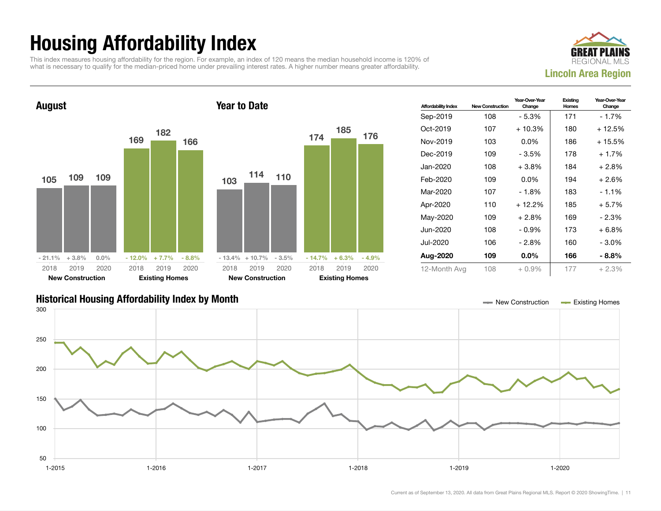## Housing Affordability Index

This index measures housing affordability for the region. For example, an index of 120 means the median household income is 120% of what is necessary to qualify for the median-priced home under prevailing interest rates. A higher number means greater affordability.





| <b>Affordability Index</b> | <b>New Construction</b> | Year-Over-Year<br>Change | Existing<br>Homes | Year-Over-Year<br>Change |
|----------------------------|-------------------------|--------------------------|-------------------|--------------------------|
| Sep-2019                   | 108                     | - 5.3%                   | 171               | - 1.7%                   |
| $Oct-2019$                 | 107                     | $+10.3%$                 | 180               | + 12.5%                  |
| Nov-2019                   | 103                     | $0.0\%$                  | 186               | + 15.5%                  |
| Dec-2019                   | 109                     | - 3.5%                   | 178               | $+1.7%$                  |
| Jan-2020                   | 108                     | $+3.8%$                  | 184               | $+2.8%$                  |
| Feb-2020                   | 109                     | $0.0\%$                  | 194               | $+2.6%$                  |
| Mar-2020                   | 107                     | $-1.8%$                  | 183               | $-1.1%$                  |
| Apr-2020                   | 110                     | $+12.2%$                 | 185               | $+5.7%$                  |
| May-2020                   | 109                     | $+2.8\%$                 | 169               | - 2.3%                   |
| Jun-2020                   | 108                     | $-0.9%$                  | 173               | $+6.8%$                  |
| Jul-2020                   | 106                     | - 2.8%                   | 160               | - 3.0%                   |
| Aug-2020                   | 109                     | $0.0\%$                  | 166               | - 8.8%                   |
| 12-Month Avg               | 108                     | $+0.9\%$                 | 177               | $+2.3%$                  |

#### Historical Housing Affordability Index by Month New Construction Existing Homes

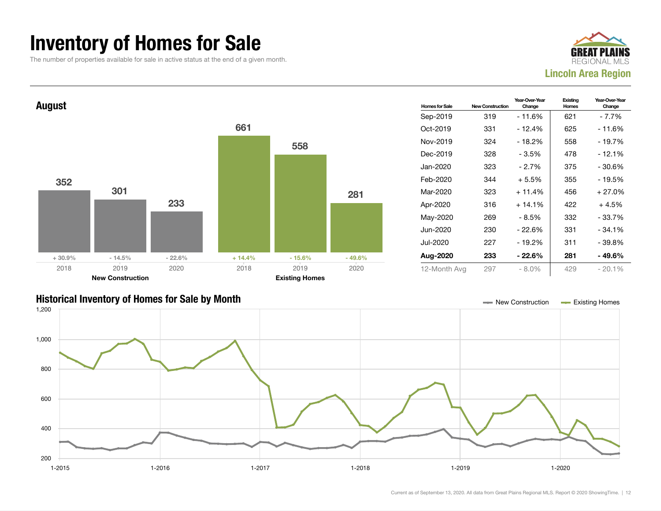#### Inventory of Homes for Sale

The number of properties available for sale in active status at the end of a given month.







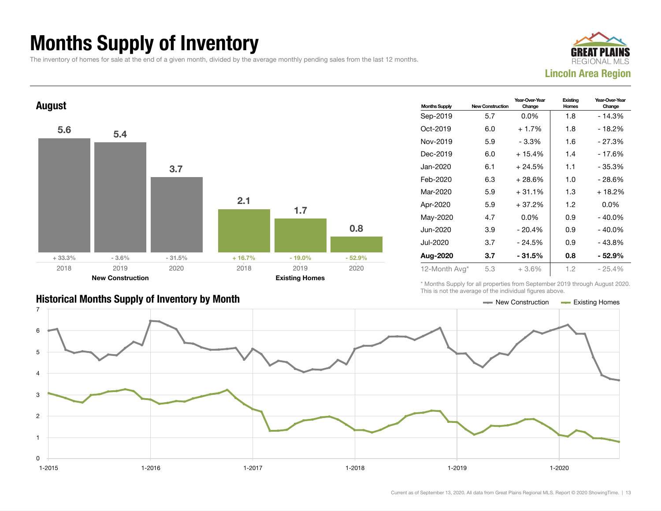### Months Supply of Inventory

The inventory of homes for sale at the end of a given month, divided by the average monthly pending sales from the last 12 months.





| <b>Historical Months Supply of Inventory by Month</b> | ← New Construction | Existing Homes |
|-------------------------------------------------------|--------------------|----------------|

| <b>Months Supply</b> | <b>New Construction</b> | Year-Over-Year<br>Change | Existing<br>Homes | Year-Over-Year<br>Change |  |
|----------------------|-------------------------|--------------------------|-------------------|--------------------------|--|
| Sep-2019             | 5.7                     | $0.0\%$                  | 1.8               | - 14.3%                  |  |
| Oct-2019             | 6.0                     | $+1.7%$                  | 1.8               | - 18.2%                  |  |
| Nov-2019             | 5.9                     | - 3.3%                   | 1.6               | $-27.3%$                 |  |
| Dec-2019             | 6.0                     | $+15.4%$                 | 1.4               | - 17.6%                  |  |
| Jan-2020             | 6.1                     | + 24.5%                  | 1.1               | $-35.3%$                 |  |
| Feb-2020             | 6.3                     | + 28.6%                  | 1.0               | - 28.6%                  |  |
| Mar-2020             | 5.9                     | $+31.1%$                 | 1.3               | $+18.2%$                 |  |
| Apr-2020             | 5.9                     | $+37.2%$                 | 1.2               | $0.0\%$                  |  |
| May-2020             | 4.7                     | $0.0\%$                  | 0.9               | $-40.0\%$                |  |
| Jun-2020             | 3.9                     | $-20.4%$                 | 0.9               | $-40.0\%$                |  |
| Jul-2020             | 3.7                     | $-24.5%$                 | 0.9               | - 43.8%                  |  |
| Aug-2020             | 3.7                     | - 31.5%                  | 0.8               | - 52.9%                  |  |
| 12-Month Avg*        | 5.3                     | $+3.6\%$                 | 1.2               | $-25.4\%$                |  |

\* Months Supply for all properties from September 2019 through August 2020. This is not the average of the individual figures above.